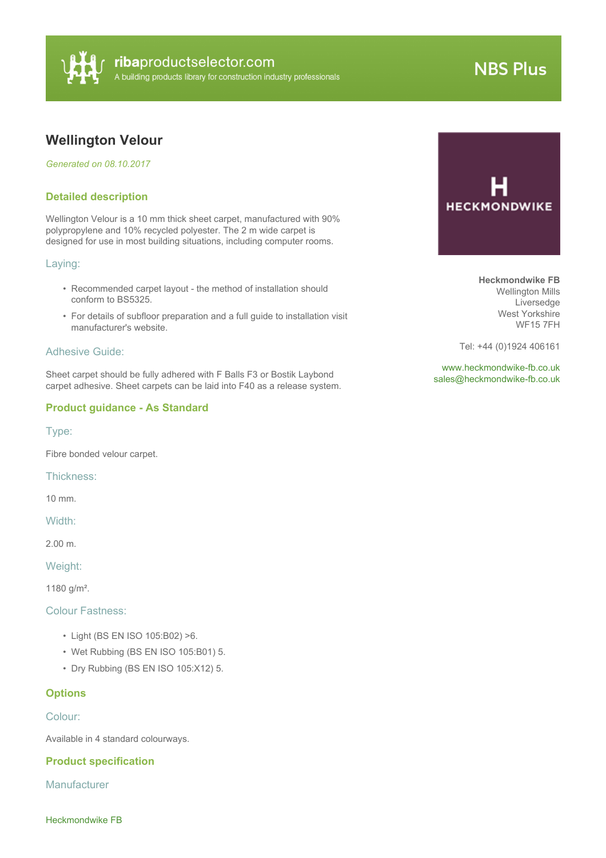

# **NBS Plus**

# **Wellington Velour**

*Generated on 08.10.2017*

# **Detailed description**

Wellington Velour is a 10 mm thick sheet carpet, manufactured with 90% polypropylene and 10% recycled polyester. The 2 m wide carpet is designed for use in most building situations, including computer rooms.

#### Laying:

- Recommended carpet layout the method of installation should conform to BS5325.
- For details of subfloor preparation and a full guide to installation visit manufacturer's website.

#### Adhesive Guide:

Sheet carpet should be fully adhered with F Balls F3 or Bostik Laybond carpet adhesive. Sheet carpets can be laid into F40 as a release system.

# **Product guidance - As Standard**

Type:

Fibre bonded velour carpet.

Thickness:

10 mm.

Width:

2.00 m.

Weight:

1180 g/m².

### Colour Fastness:

- Light (BS EN ISO 105:B02) >6.
- Wet Rubbing (BS EN ISO 105:B01) 5.
- Dry Rubbing (BS EN ISO 105:X12) 5.

#### **Options**

Colour:

Available in 4 standard colourways.

#### **Product specification**

**Manufacturer** 



**Heckmondwike FB** Wellington Mills Liversedge West Yorkshire WF15 7FH

Tel: +44 (0)1924 406161

<www.heckmondwike-fb.co.uk> [sales@heckmondwike-fb.co.uk](mailto:sales@heckmondwike-fb.co.uk?subject=Wellington Velour)

Heckmondwike FB